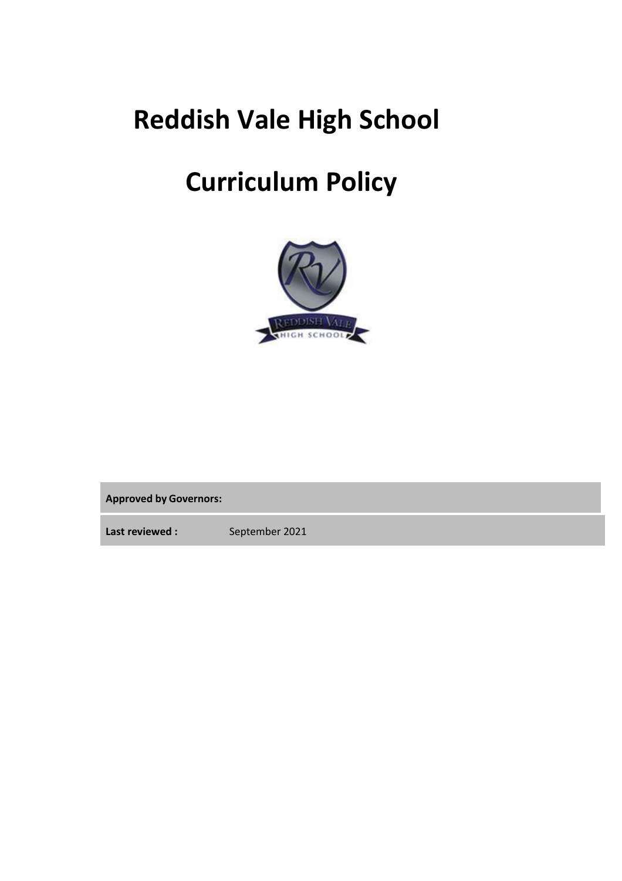# **Reddish Vale High School**

# **Curriculum Policy**



**Approved by Governors:**

Last reviewed : September 2021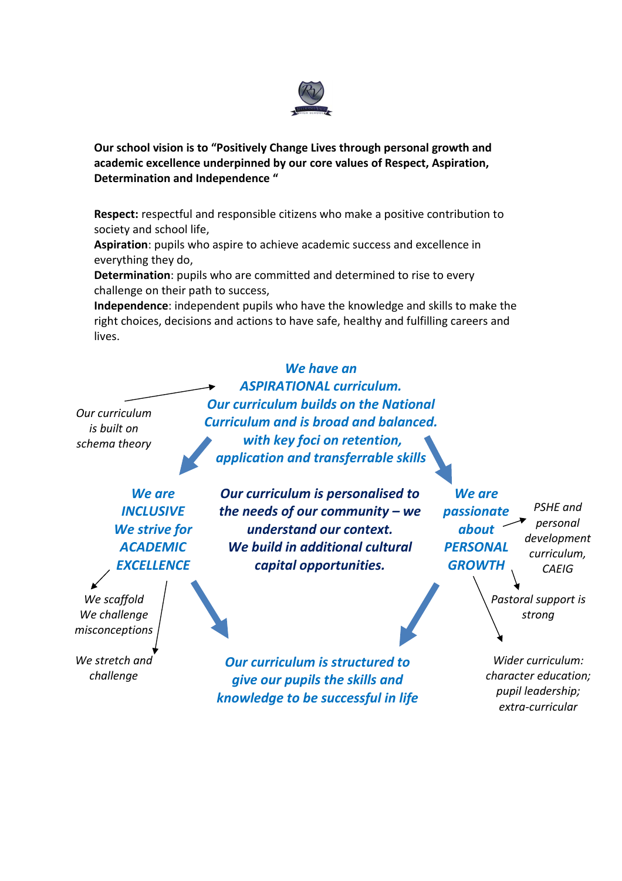

**Our school vision is to "Positively Change Lives through personal growth and academic excellence underpinned by our core values of Respect, Aspiration, Determination and Independence "**

**Respect:** respectful and responsible citizens who make a positive contribution to society and school life,

**Aspiration**: pupils who aspire to achieve academic success and excellence in everything they do,

**Determination**: pupils who are committed and determined to rise to every challenge on their path to success,

**Independence**: independent pupils who have the knowledge and skills to make the right choices, decisions and actions to have safe, healthy and fulfilling careers and lives.

*Our curriculum is built on schema theory*

*ASPIRATIONAL curriculum. Our curriculum builds on the National Curriculum and is broad and balanced. with key foci on retention, application and transferrable skills*

*We have an*

*We are INCLUSIVE We strive for ACADEMIC EXCELLENCE*

*We scaffold We challenge misconceptions*

*We stretch and challenge*

*Our curriculum is personalised to the needs of our community – we understand our context. We build in additional cultural* 

*capital opportunities.*

*We are passionate about PERSONAL GROWTH PSHE and personal development curriculum, CAEIG*

> *Pastoral support is strong*

*Our curriculum is structured to give our pupils the skills and knowledge to be successful in life*

*Wider curriculum: character education; pupil leadership; extra-curricular*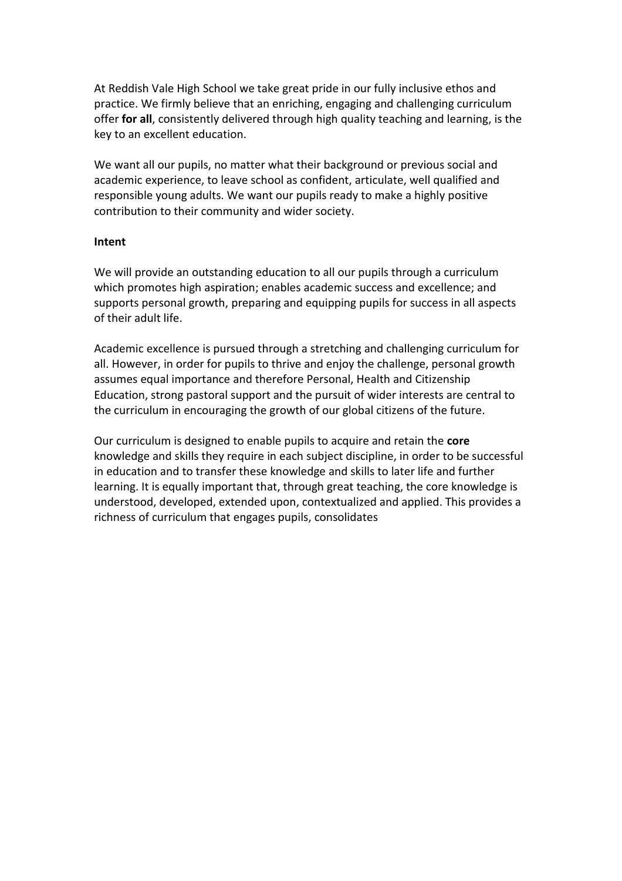At Reddish Vale High School we take great pride in our fully inclusive ethos and practice. We firmly believe that an enriching, engaging and challenging curriculum offer **for all**, consistently delivered through high quality teaching and learning, is the key to an excellent education.

We want all our pupils, no matter what their background or previous social and academic experience, to leave school as confident, articulate, well qualified and responsible young adults. We want our pupils ready to make a highly positive contribution to their community and wider society.

#### **Intent**

We will provide an outstanding education to all our pupils through a curriculum which promotes high aspiration; enables academic success and excellence; and supports personal growth, preparing and equipping pupils for success in all aspects of their adult life.

Academic excellence is pursued through a stretching and challenging curriculum for all. However, in order for pupils to thrive and enjoy the challenge, personal growth assumes equal importance and therefore Personal, Health and Citizenship Education, strong pastoral support and the pursuit of wider interests are central to the curriculum in encouraging the growth of our global citizens of the future.

Our curriculum is designed to enable pupils to acquire and retain the **core**  knowledge and skills they require in each subject discipline, in order to be successful in education and to transfer these knowledge and skills to later life and further learning. It is equally important that, through great teaching, the core knowledge is understood, developed, extended upon, contextualized and applied. This provides a richness of curriculum that engages pupils, consolidates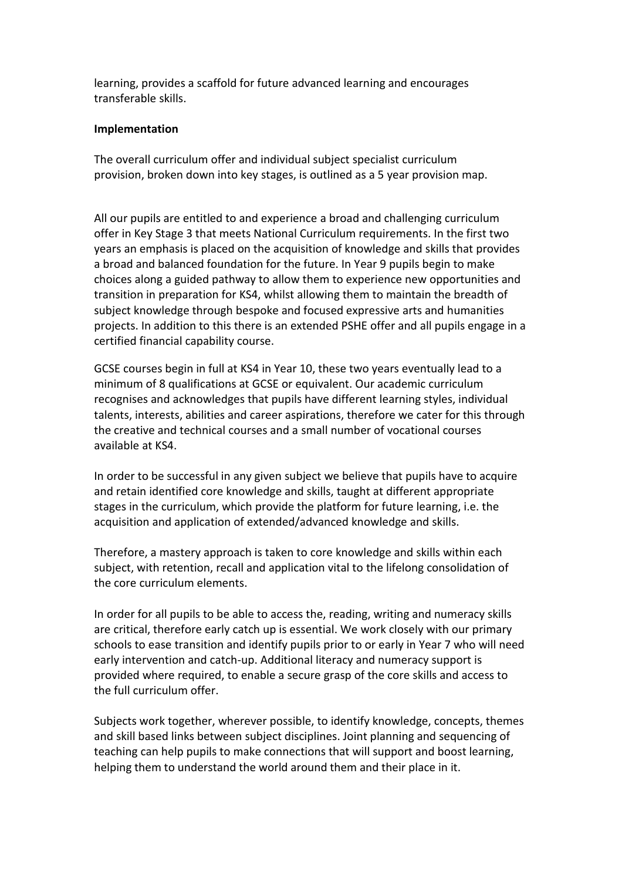learning, provides a scaffold for future advanced learning and encourages transferable skills.

#### **Implementation**

The overall curriculum offer and individual subject specialist curriculum provision, broken down into key stages, is outlined as a 5 year provision map.

All our pupils are entitled to and experience a broad and challenging curriculum offer in Key Stage 3 that meets National Curriculum requirements. In the first two years an emphasis is placed on the acquisition of knowledge and skills that provides a broad and balanced foundation for the future. In Year 9 pupils begin to make choices along a guided pathway to allow them to experience new opportunities and transition in preparation for KS4, whilst allowing them to maintain the breadth of subject knowledge through bespoke and focused expressive arts and humanities projects. In addition to this there is an extended PSHE offer and all pupils engage in a certified financial capability course.

GCSE courses begin in full at KS4 in Year 10, these two years eventually lead to a minimum of 8 qualifications at GCSE or equivalent. Our academic curriculum recognises and acknowledges that pupils have different learning styles, individual talents, interests, abilities and career aspirations, therefore we cater for this through the creative and technical courses and a small number of vocational courses available at KS4.

In order to be successful in any given subject we believe that pupils have to acquire and retain identified core knowledge and skills, taught at different appropriate stages in the curriculum, which provide the platform for future learning, i.e. the acquisition and application of extended/advanced knowledge and skills.

Therefore, a mastery approach is taken to core knowledge and skills within each subject, with retention, recall and application vital to the lifelong consolidation of the core curriculum elements.

In order for all pupils to be able to access the, reading, writing and numeracy skills are critical, therefore early catch up is essential. We work closely with our primary schools to ease transition and identify pupils prior to or early in Year 7 who will need early intervention and catch-up. Additional literacy and numeracy support is provided where required, to enable a secure grasp of the core skills and access to the full curriculum offer.

Subjects work together, wherever possible, to identify knowledge, concepts, themes and skill based links between subject disciplines. Joint planning and sequencing of teaching can help pupils to make connections that will support and boost learning, helping them to understand the world around them and their place in it.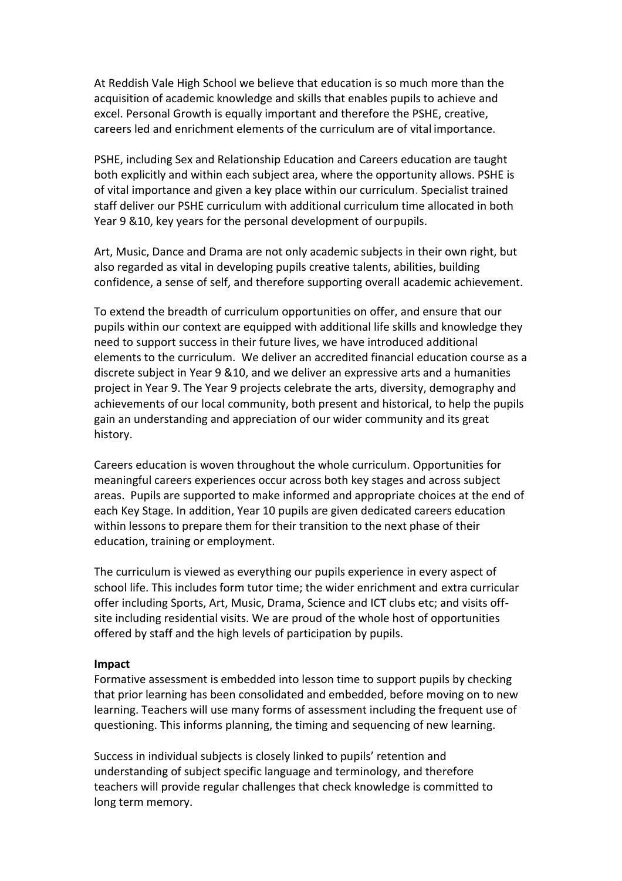At Reddish Vale High School we believe that education is so much more than the acquisition of academic knowledge and skills that enables pupils to achieve and excel. Personal Growth is equally important and therefore the PSHE, creative, careers led and enrichment elements of the curriculum are of vital importance.

PSHE, including Sex and Relationship Education and Careers education are taught both explicitly and within each subject area, where the opportunity allows. PSHE is of vital importance and given a key place within our curriculum. Specialist trained staff deliver our PSHE curriculum with additional curriculum time allocated in both Year 9 &10, key years for the personal development of ourpupils.

Art, Music, Dance and Drama are not only academic subjects in their own right, but also regarded as vital in developing pupils creative talents, abilities, building confidence, a sense of self, and therefore supporting overall academic achievement.

To extend the breadth of curriculum opportunities on offer, and ensure that our pupils within our context are equipped with additional life skills and knowledge they need to support success in their future lives, we have introduced additional elements to the curriculum. We deliver an accredited financial education course as a discrete subject in Year 9 &10, and we deliver an expressive arts and a humanities project in Year 9. The Year 9 projects celebrate the arts, diversity, demography and achievements of our local community, both present and historical, to help the pupils gain an understanding and appreciation of our wider community and its great history.

Careers education is woven throughout the whole curriculum. Opportunities for meaningful careers experiences occur across both key stages and across subject areas. Pupils are supported to make informed and appropriate choices at the end of each Key Stage. In addition, Year 10 pupils are given dedicated careers education within lessons to prepare them for their transition to the next phase of their education, training or employment.

The curriculum is viewed as everything our pupils experience in every aspect of school life. This includes form tutor time; the wider enrichment and extra curricular offer including Sports, Art, Music, Drama, Science and ICT clubs etc; and visits offsite including residential visits. We are proud of the whole host of opportunities offered by staff and the high levels of participation by pupils.

#### **Impact**

Formative assessment is embedded into lesson time to support pupils by checking that prior learning has been consolidated and embedded, before moving on to new learning. Teachers will use many forms of assessment including the frequent use of questioning. This informs planning, the timing and sequencing of new learning.

Success in individual subjects is closely linked to pupils' retention and understanding of subject specific language and terminology, and therefore teachers will provide regular challenges that check knowledge is committed to long term memory.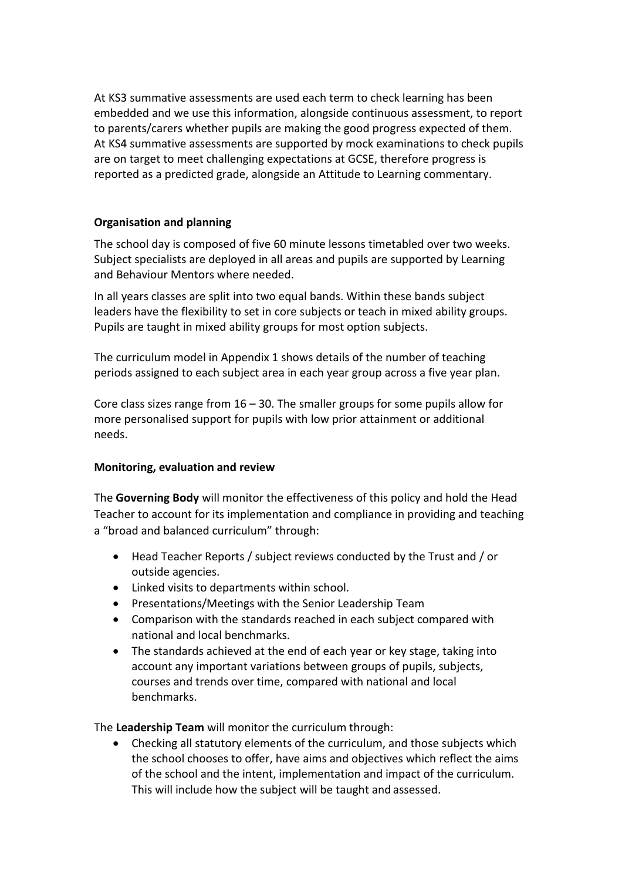At KS3 summative assessments are used each term to check learning has been embedded and we use this information, alongside continuous assessment, to report to parents/carers whether pupils are making the good progress expected of them. At KS4 summative assessments are supported by mock examinations to check pupils are on target to meet challenging expectations at GCSE, therefore progress is reported as a predicted grade, alongside an Attitude to Learning commentary.

#### **Organisation and planning**

The school day is composed of five 60 minute lessons timetabled over two weeks. Subject specialists are deployed in all areas and pupils are supported by Learning and Behaviour Mentors where needed.

In all years classes are split into two equal bands. Within these bands subject leaders have the flexibility to set in core subjects or teach in mixed ability groups. Pupils are taught in mixed ability groups for most option subjects.

The curriculum model in Appendix 1 shows details of the number of teaching periods assigned to each subject area in each year group across a five year plan.

Core class sizes range from  $16 - 30$ . The smaller groups for some pupils allow for more personalised support for pupils with low prior attainment or additional needs.

#### **Monitoring, evaluation and review**

The **Governing Body** will monitor the effectiveness of this policy and hold the Head Teacher to account for its implementation and compliance in providing and teaching a "broad and balanced curriculum" through:

- Head Teacher Reports / subject reviews conducted by the Trust and / or outside agencies.
- Linked visits to departments within school.
- Presentations/Meetings with the Senior Leadership Team
- Comparison with the standards reached in each subject compared with national and local benchmarks.
- The standards achieved at the end of each year or key stage, taking into account any important variations between groups of pupils, subjects, courses and trends over time, compared with national and local benchmarks.

The **Leadership Team** will monitor the curriculum through:

 Checking all statutory elements of the curriculum, and those subjects which the school chooses to offer, have aims and objectives which reflect the aims of the school and the intent, implementation and impact of the curriculum. This will include how the subject will be taught and assessed.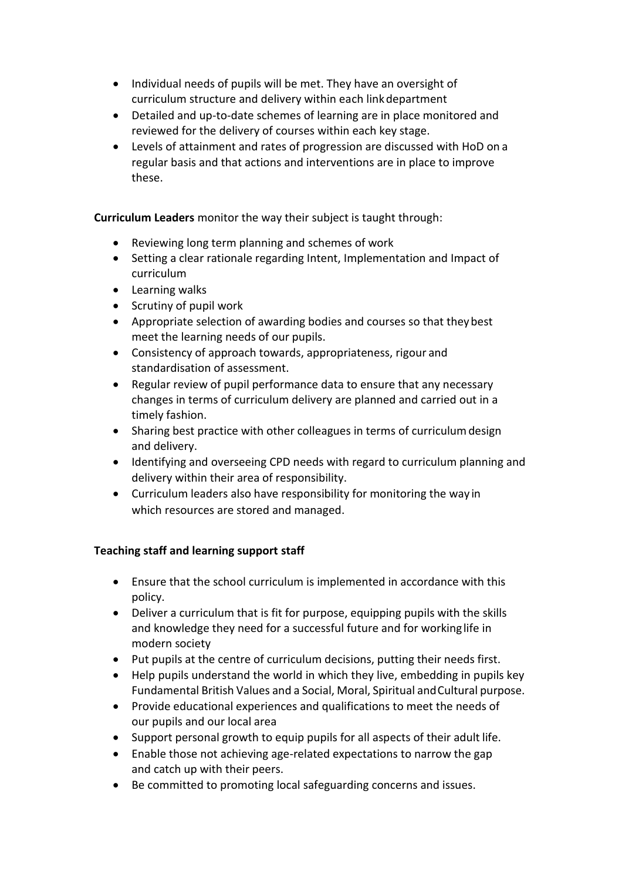- Individual needs of pupils will be met. They have an oversight of curriculum structure and delivery within each linkdepartment
- Detailed and up-to-date schemes of learning are in place monitored and reviewed for the delivery of courses within each key stage.
- Levels of attainment and rates of progression are discussed with HoD on a regular basis and that actions and interventions are in place to improve these.

**Curriculum Leaders** monitor the way their subject is taught through:

- Reviewing long term planning and schemes of work
- Setting a clear rationale regarding Intent, Implementation and Impact of curriculum
- Learning walks
- Scrutiny of pupil work
- Appropriate selection of awarding bodies and courses so that theybest meet the learning needs of our pupils.
- Consistency of approach towards, appropriateness, rigour and standardisation of assessment.
- Regular review of pupil performance data to ensure that any necessary changes in terms of curriculum delivery are planned and carried out in a timely fashion.
- Sharing best practice with other colleagues in terms of curriculum design and delivery.
- Identifying and overseeing CPD needs with regard to curriculum planning and delivery within their area of responsibility.
- Curriculum leaders also have responsibility for monitoring the way in which resources are stored and managed.

#### **Teaching staff and learning support staff**

- Ensure that the school curriculum is implemented in accordance with this policy.
- Deliver a curriculum that is fit for purpose, equipping pupils with the skills and knowledge they need for a successful future and for workinglife in modern society
- Put pupils at the centre of curriculum decisions, putting their needs first.
- Help pupils understand the world in which they live, embedding in pupils key Fundamental British Values and a Social, Moral, Spiritual andCultural purpose.
- Provide educational experiences and qualifications to meet the needs of our pupils and our local area
- Support personal growth to equip pupils for all aspects of their adult life.
- Enable those not achieving age-related expectations to narrow the gap and catch up with their peers.
- Be committed to promoting local safeguarding concerns and issues.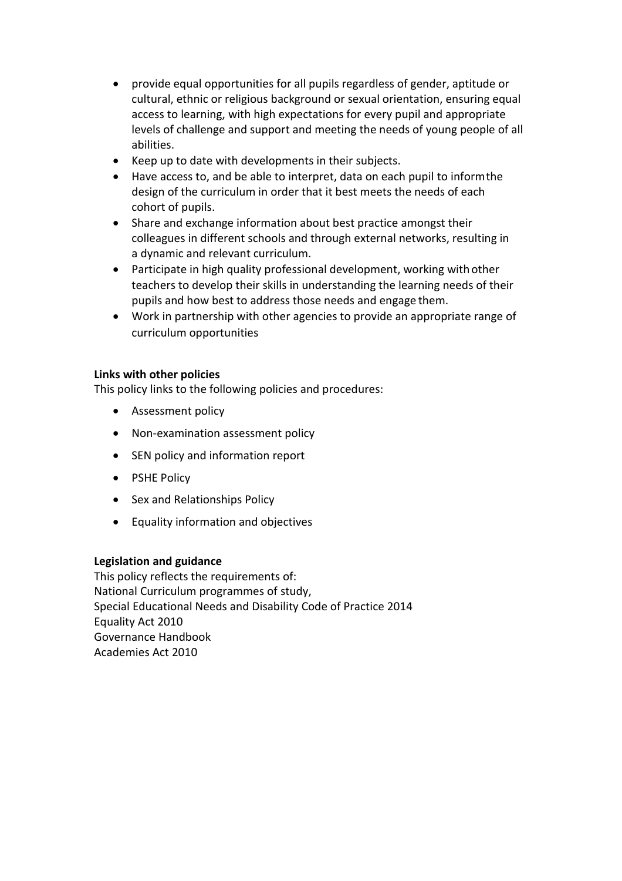- provide equal opportunities for all pupils regardless of gender, aptitude or cultural, ethnic or religious background or sexual orientation, ensuring equal access to learning, with high expectations for every pupil and appropriate levels of challenge and support and meeting the needs of young people of all abilities.
- Keep up to date with developments in their subjects.
- Have access to, and be able to interpret, data on each pupil to informthe design of the curriculum in order that it best meets the needs of each cohort of pupils.
- Share and exchange information about best practice amongst their colleagues in different schools and through external networks, resulting in a dynamic and relevant curriculum.
- Participate in high quality professional development, working with other teachers to develop their skills in understanding the learning needs of their pupils and how best to address those needs and engage them.
- Work in partnership with other agencies to provide an appropriate range of curriculum opportunities

#### **Links with other policies**

This policy links to the following policies and procedures:

- Assessment policy
- Non-examination assessment policy
- SEN policy and information report
- PSHE Policy
- Sex and Relationships Policy
- Equality information and objectives

#### **Legislation and guidance**

This policy reflects the requirements of: [National Curriculum programmes of study,](https://www.gov.uk/government/collections/national-curriculum) [Special Educational Needs and Disability Code of Practice 2014](https://www.gov.uk/government/publications/send-code-of-practice-0-to-25) [Equality Act 2010](http://www.legislation.gov.uk/ukpga/2010/15/part/6/chapter/1) [Governance Handbook](https://www.gov.uk/government/publications/governance-handbook) [Academies Act 2010](http://www.legislation.gov.uk/ukpga/2010/32/section/1A)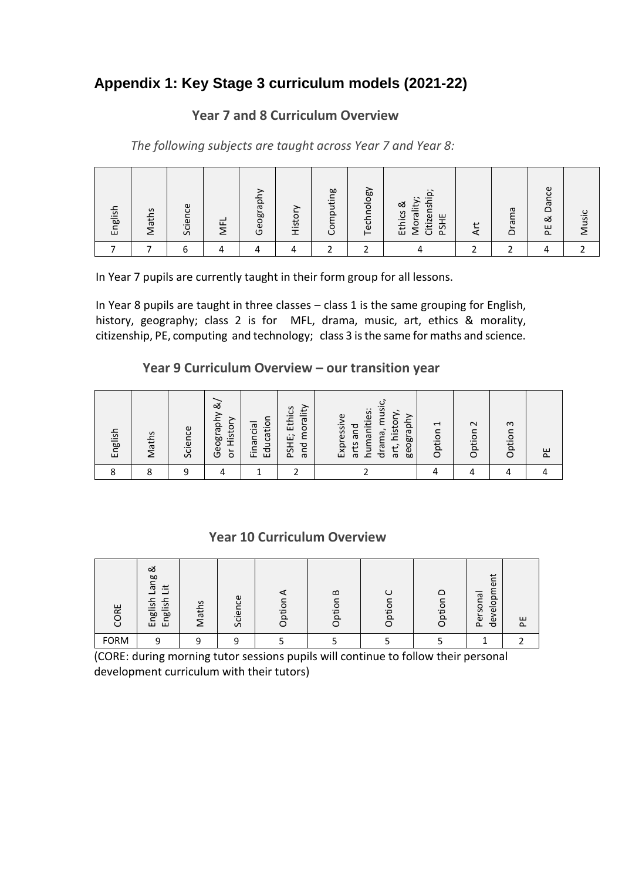# **Appendix 1: Key Stage 3 curriculum models (2021-22)**

# **Year 7 and 8 Curriculum Overview**

*The following subjects are taught across Year 7 and Year 8:*

| English | S<br>Matl | ප<br>Scien | <b>NFL</b> | Geograp | Histor | puting<br>om<br>ပ | Technology | $\ddot{\Omega}$<br>Citizenshi<br>$\cdot$ $\sim$<br>Morality<br>ಹ<br>Ethics<br>ш<br>PSH | $\overline{ }$<br>⊄ | Drama | ပ္ပ<br>$\bar{\sigma}$<br>$\Box$<br>చ<br>ш<br>$\Delta$ | usic<br>$\overline{\phantom{0}}$ |
|---------|-----------|------------|------------|---------|--------|-------------------|------------|----------------------------------------------------------------------------------------|---------------------|-------|-------------------------------------------------------|----------------------------------|
|         |           | n          |            |         |        |                   |            |                                                                                        |                     |       |                                                       |                                  |

In Year 7 pupils are currently taught in their form group for all lessons.

In Year 8 pupils are taught in three classes – class 1 is the same grouping for English, history, geography; class 2 is for MFL, drama, music, art, ethics & morality, citizenship, PE, computing and technology; class 3 is the same for maths and science.

### **Year 9 Curriculum Overview – our transition year**

| English | S<br>Math: | Science | త<br>aph<br>Histor<br>Geogr<br>$\overleftarrow{\mathrm{o}}$ | Education<br>Financial | morality<br>PSHE; Ethics<br>and | musi<br>humanities:<br>history,<br>Expressive<br>geography<br>and<br>drama,<br>S.<br>art,<br>$\bar{\sigma}$ | J<br>ption<br>$\circ$ | $\sim$<br>Option | $\omega$<br>Option | ш<br>$\sim$ |
|---------|------------|---------|-------------------------------------------------------------|------------------------|---------------------------------|-------------------------------------------------------------------------------------------------------------|-----------------------|------------------|--------------------|-------------|
|         | $\circ$    | Ω       |                                                             |                        |                                 |                                                                                                             |                       |                  |                    |             |

### **Year 10 Curriculum Overview**

| ΡF<br>g     | త<br>ğ<br>$\bar{\sigma}$<br>土<br>ᆜ<br>윿<br>$\overline{ }$<br>$\mathbf{v}$<br>$\equiv$<br>pal<br>ρø<br>ш<br>ш | S<br>ath<br>-<br>∠ | Φ<br>ပ<br>$\omega$<br>._<br>$\mathbf C$<br>Ō | ō<br>Ĕ | $\mathbf{\Omega}$<br>ptio<br>⌒ | O<br>Ħ | O<br>$\overline{b}$<br>O | $\overline{a}$<br>$\omega$<br>≻<br>$\sigma$<br>$\Omega$<br>$\overline{ }$<br>$\circ$<br>lOS.<br>$\overline{\mathbb{Q}}$<br>৯<br>$\omega$<br>$\Delta$<br>ਠ | ш<br>௨ |
|-------------|--------------------------------------------------------------------------------------------------------------|--------------------|----------------------------------------------|--------|--------------------------------|--------|--------------------------|-----------------------------------------------------------------------------------------------------------------------------------------------------------|--------|
| <b>FORM</b> | റ                                                                                                            | ◠                  | C                                            |        |                                |        |                          |                                                                                                                                                           |        |

(CORE: during morning tutor sessions pupils will continue to follow their personal development curriculum with their tutors)